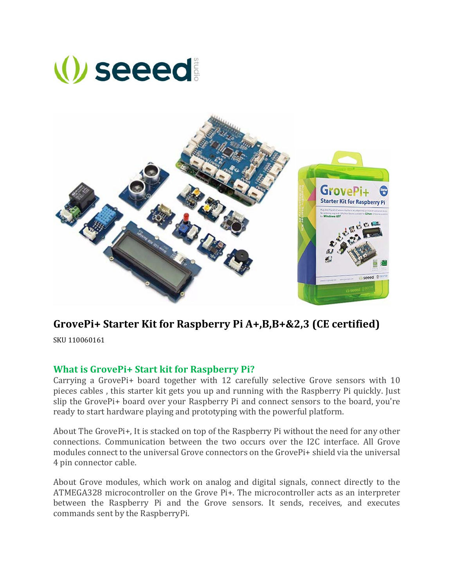



## **GrovePi+ Starter Kit for Raspberry Pi A+,B,B+&2,3 (CE certified)**

SKU 110060161

## **What is GrovePi+ Start kit for Raspberry Pi?**

Carrying a GrovePi+ board together with 12 carefully selective Grove sensors with  $10$ pieces cables, this starter kit gets you up and running with the Raspberry Pi quickly. Just slip the GrovePi+ board over your Raspberry Pi and connect sensors to the board, you're ready to start hardware playing and prototyping with the powerful platform.

About The GrovePi+, It is stacked on top of the Raspberry Pi without the need for any other connections. Communication between the two occurs over the I2C interface. All Grove modules connect to the universal Grove connectors on the GrovePi+ shield via the universal 4 pin connector cable.

About Grove modules, which work on analog and digital signals, connect directly to the ATMEGA328 microcontroller on the Grove Pi+. The microcontroller acts as an interpreter between the Raspberry Pi and the Grove sensors. It sends, receives, and executes commands sent by the RaspberryPi.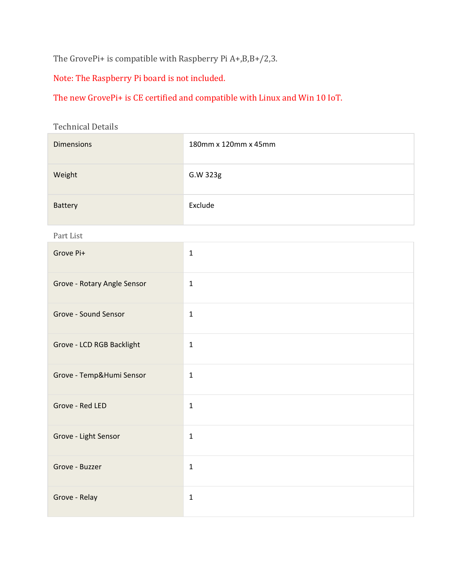The GrovePi+ is compatible with Raspberry Pi  $A+, B, B+/2, 3$ .

Note: The Raspberry Pi board is not included.

The new GrovePi+ is CE certified and compatible with Linux and Win 10 IoT.

Technical Details

| <b>Dimensions</b>           | 180mm x 120mm x 45mm |
|-----------------------------|----------------------|
| Weight                      | G.W 323g             |
| Battery                     | Exclude              |
| Part List                   |                      |
| Grove Pi+                   | $\mathbf 1$          |
| Grove - Rotary Angle Sensor | $\mathbf{1}$         |
| Grove - Sound Sensor        | $\mathbf{1}$         |
| Grove - LCD RGB Backlight   | $\mathbf{1}$         |
| Grove - Temp&Humi Sensor    | $\mathbf{1}$         |
| Grove - Red LED             | $\mathbf 1$          |
| Grove - Light Sensor        | $\mathbf 1$          |
| Grove - Buzzer              | $\mathbf{1}$         |
| Grove - Relay               | $\mathbf{1}$         |